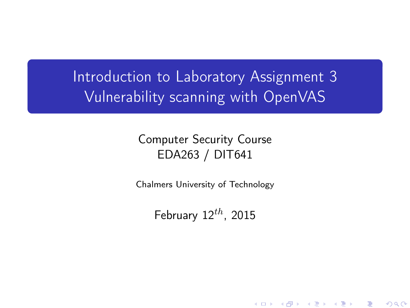Introduction to Laboratory Assignment 3 Vulnerability scanning with OpenVAS

### Computer Security Course EDA263 / DIT641

Chalmers University of Technology

<span id="page-0-0"></span>February  $12^{th}$ , 2015

K ロ X K 御 X K 평 X K 평 X ( 평 X )

 $299$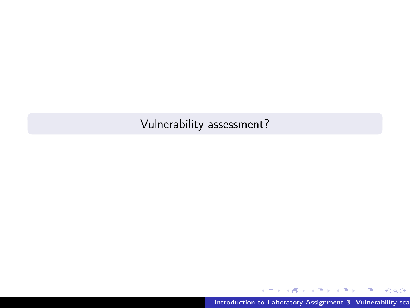## Vulnerability assessment?

目

 $299$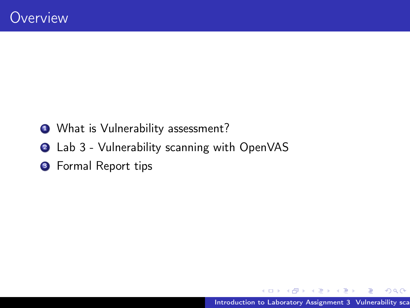- **1** What is Vulnerability assessment?
- 2 Lab 3 Vulnerability scanning with OpenVAS
- **3** Formal Report tips

性  $\sim$ 

 $\leftarrow$ 

 $2Q$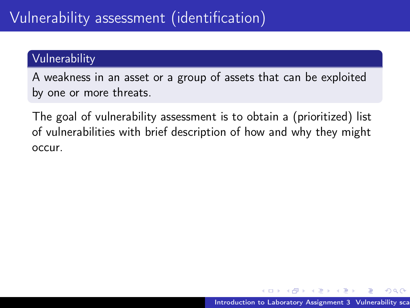### Vulnerability

A weakness in an asset or a group of assets that can be exploited by one or more threats.

The goal of vulnerability assessment is to obtain a (prioritized) list of vulnerabilities with brief description of how and why they might occur.

つくへ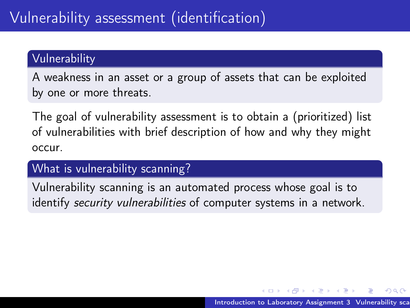### Vulnerability

A weakness in an asset or a group of assets that can be exploited by one or more threats.

The goal of vulnerability assessment is to obtain a (prioritized) list of vulnerabilities with brief description of how and why they might occur.

What is vulnerability scanning?

Vulnerability scanning is an automated process whose goal is to identify security vulnerabilities of computer systems in a network.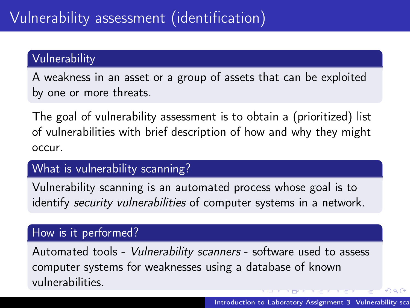### Vulnerability

A weakness in an asset or a group of assets that can be exploited by one or more threats.

The goal of vulnerability assessment is to obtain a (prioritized) list of vulnerabilities with brief description of how and why they might occur.

#### What is vulnerability scanning?

Vulnerability scanning is an automated process whose goal is to identify security vulnerabilities of computer systems in a network.

#### How is it performed?

Automated tools - Vulnerability scanners - software used to assess computer systems for weaknesses using a database of known vulnerabilities.

 $2990$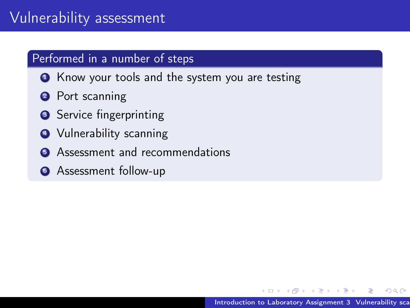- **1** Know your tools and the system you are testing
- **2** Port scanning
- **3** Service fingerprinting
- **4** Vulnerability scanning
- **6** Assessment and recommendations
- **6** Assessment follow-up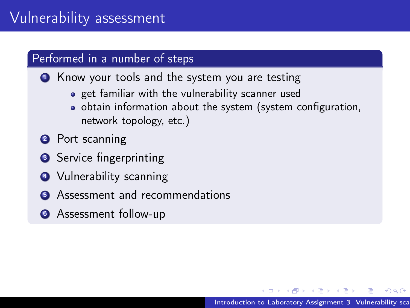**• Know your tools and the system you are testing** 

- **•** get familiar with the vulnerability scanner used
- obtain information about the system (system configuration, network topology, etc.)
- **2** Port scanning
- **3** Service fingerprinting
- **4** Vulnerability scanning
- **6** Assessment and recommendations
- **6** Assessment follow-up

つくい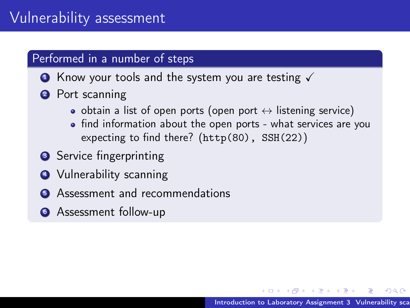- $\bullet$  Know your tools and the system you are testing  $\checkmark$
- **2** Port scanning
	- $\bullet$  obtain a list of open ports (open port  $\leftrightarrow$  listening service)
	- find information about the open ports what services are you expecting to find there? (http(80), SSH(22))
- **3** Service fingerprinting
- **4** Vulnerability scanning
- **•** Assessment and recommendations
- **6** Assessment follow-up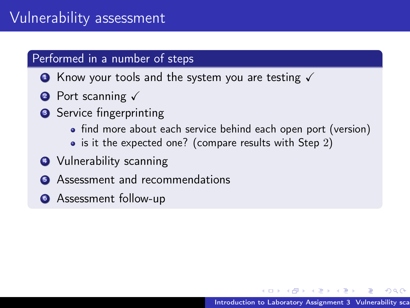- $\bullet$  Know your tools and the system you are testing  $\checkmark$
- **2** Port scanning  $\sqrt{ }$
- **3** Service fingerprinting
	- find more about each service behind each open port (version)
	- $\bullet$  is it the expected one? (compare results with Step 2)
- **4** Vulnerability scanning
- **•** Assessment and recommendations
- **6** Assessment follow-up

つくい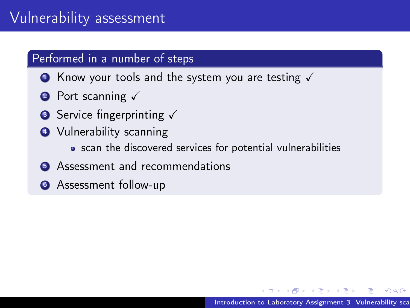- $\bullet$  Know your tools and the system you are testing  $\checkmark$
- **2** Port scanning  $\sqrt{ }$
- **3** Service fingerprinting  $\checkmark$
- **4** Vulnerability scanning
	- scan the discovered services for potential vulnerabilities
- **6** Assessment and recommendations
- **6** Assessment follow-up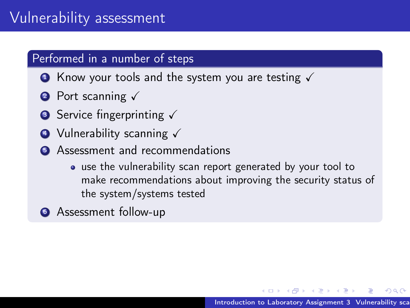- $\bullet$  Know your tools and the system you are testing  $\checkmark$
- **2** Port scanning  $\sqrt{ }$
- **3** Service fingerprinting  $\checkmark$
- $\bullet$  Vulnerability scanning  $\checkmark$
- **•** Assessment and recommendations
	- use the vulnerability scan report generated by your tool to make recommendations about improving the security status of the system/systems tested
- **6** Assessment follow-up

つくい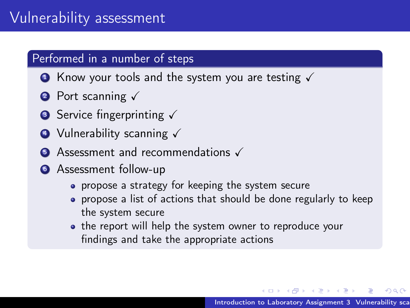- $\bullet$  Know your tools and the system you are testing  $\checkmark$
- **2** Port scanning  $\sqrt{ }$
- **3** Service fingerprinting  $\checkmark$
- $\bullet$  Vulnerability scanning  $\checkmark$
- $\bullet$  Assessment and recommendations  $\checkmark$
- **6** Assessment follow-up
	- propose a strategy for keeping the system secure
	- propose a list of actions that should be done regularly to keep the system secure
	- the report will help the system owner to reproduce your findings and take the appropriate actions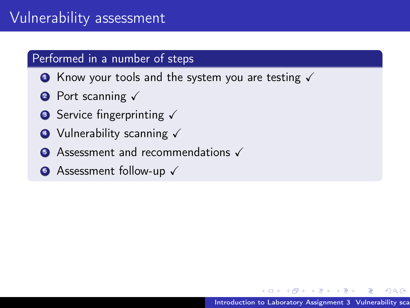- $\bullet$  Know your tools and the system you are testing  $\checkmark$
- **2** Port scanning  $\sqrt{ }$
- **3** Service fingerprinting  $\checkmark$
- $\bullet$  Vulnerability scanning  $\checkmark$
- $\bullet$  Assessment and recommendations  $\checkmark$
- **•** Assessment follow-up  $\checkmark$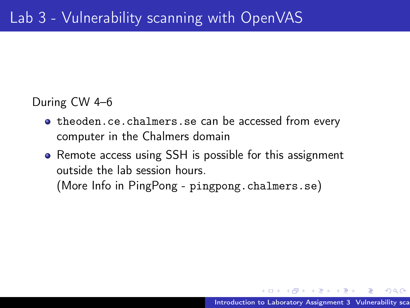#### During CW 4–6

- <theoden.ce.chalmers.se> can be accessed from every computer in the Chalmers domain
- Remote access using SSH is possible for this assignment outside the lab session hours. (More Info in PingPong - <pingpong.chalmers.se>)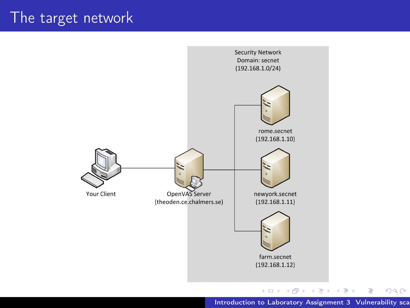# The target network



Introduction to Laboratory Assignment 3 Vulnerability sca

重

 $299$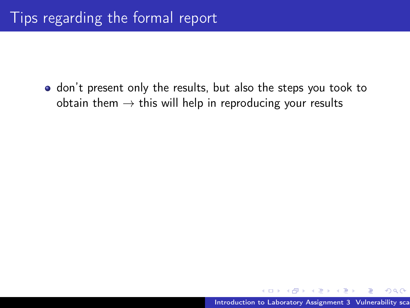don't present only the results, but also the steps you took to obtain them  $\rightarrow$  this will help in reproducing your results

 $QQ$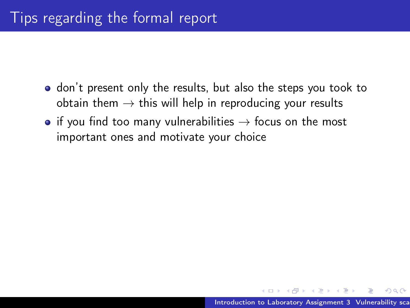- don't present only the results, but also the steps you took to obtain them  $\rightarrow$  this will help in reproducing your results
- if you find too many vulnerabilities  $\rightarrow$  focus on the most important ones and motivate your choice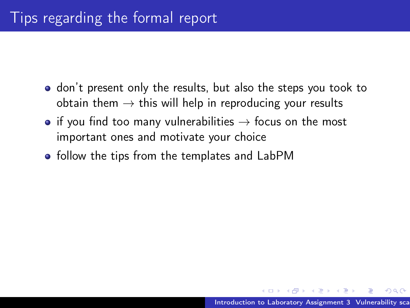- don't present only the results, but also the steps you took to obtain them  $\rightarrow$  this will help in reproducing your results
- if you find too many vulnerabilities  $\rightarrow$  focus on the most important ones and motivate your choice
- follow the tips from the templates and LabPM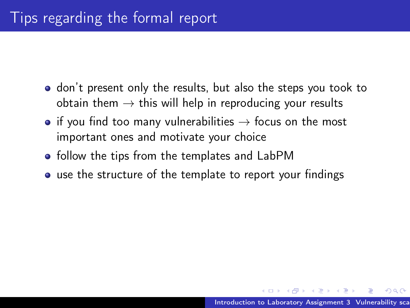- don't present only the results, but also the steps you took to obtain them  $\rightarrow$  this will help in reproducing your results
- if you find too many vulnerabilities  $\rightarrow$  focus on the most important ones and motivate your choice
- follow the tips from the templates and LabPM
- use the structure of the template to report your findings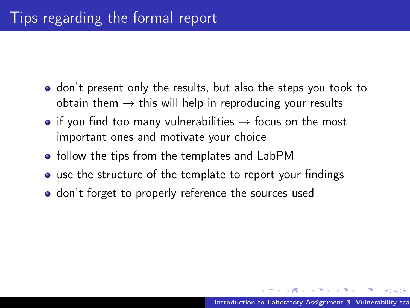- don't present only the results, but also the steps you took to obtain them  $\rightarrow$  this will help in reproducing your results
- if you find too many vulnerabilities  $\rightarrow$  focus on the most important ones and motivate your choice
- follow the tips from the templates and LabPM
- use the structure of the template to report your findings
- don't forget to properly reference the sources used